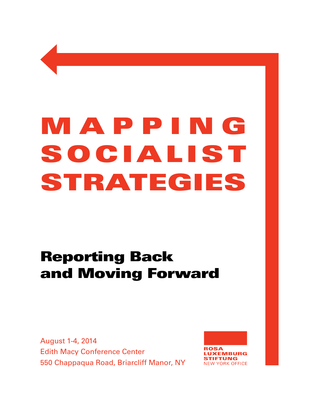# M A P P I N G SO C IA L I S T STRATEGIES

# Reporting Back and Moving Forward

August 1-4, 2014 Edith Macy Conference Center 550 Chappaqua Road, Briarcliff Manor, NY

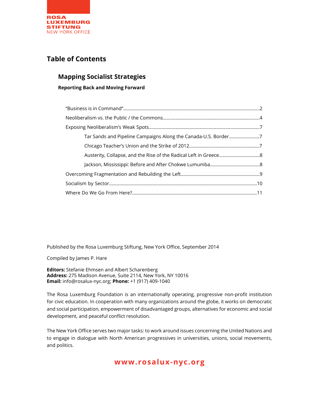

#### **Table of Contents**

#### **Mapping Socialist Strategies**

**Reporting Back and Moving Forward**

| Tar Sands and Pipeline Campaigns Along the Canada-U.S. Border7 |  |
|----------------------------------------------------------------|--|
|                                                                |  |
|                                                                |  |
|                                                                |  |
|                                                                |  |
|                                                                |  |
|                                                                |  |

Published by the Rosa Luxemburg Stiftung, New York Office, September 2014

Compiled by James P. Hare

**Editors:** Stefanie Ehmsen and Albert Scharenberg **Address:** 275 Madison Avenue, Suite 2114, New York, NY 10016 **Email:** info@rosalux-nyc.org; **Phone:** +1 (917) 409-1040

The Rosa Luxemburg Foundation is an internationally operating, progressive non-profit institution for civic education. In cooperation with many organizations around the globe, it works on democratic and social participation, empowerment of disadvantaged groups, alternatives for economic and social development, and peaceful conflict resolution.

The New York Office serves two major tasks: to work around issues concerning the United Nations and to engage in dialogue with North American progressives in universities, unions, social movements, and politics.

#### **www.rosalux-nyc.org**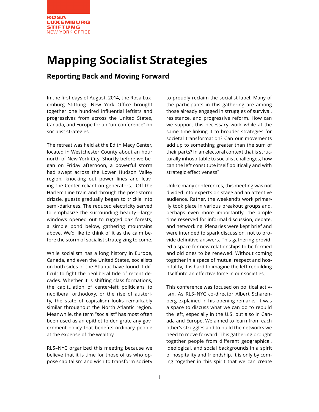

### **Mapping Socialist Strategies**

#### **Reporting Back and Moving Forward**

In the first days of August, 2014, the Rosa Luxemburg Stiftung—New York Office brought together one hundred influential leftists and progressives from across the United States, Canada, and Europe for an "un-conference" on socialist strategies.

The retreat was held at the Edith Macy Center, located in Westchester County about an hour north of New York City. Shortly before we began on Friday afternoon, a powerful storm had swept across the Lower Hudson Valley region, knocking out power lines and leaving the Center reliant on generators. Off the Harlem Line train and through the post-storm drizzle, guests gradually began to trickle into semi-darkness. The reduced electricity served to emphasize the surrounding beauty—large windows opened out to rugged oak forests, a simple pond below, gathering mountains above. We'd like to think of it as the calm before the storm of socialist strategizing to come.

While socialism has a long history in Europe, Canada, and even the United States, socialists on both sides of the Atlantic have found it difficult to fight the neoliberal tide of recent decades. Whether it is shifting class formations, the capitulation of center-left politicians to neoliberal orthodoxy, or the rise of austerity, the state of capitalism looks remarkably similar throughout the North Atlantic region. Meanwhile, the term "socialist" has most often been used as an epithet to denigrate any government policy that benefits ordinary people at the expense of the wealthy.

RLS–NYC organized this meeting because we believe that it is time for those of us who oppose capitalism and wish to transform society to proudly reclaim the socialist label. Many of the participants in this gathering are among those already engaged in struggles of survival, resistance, and progressive reform. How can we support this necessary work while at the same time linking it to broader strategies for societal transformation? Can our movements add up to something greater than the sum of their parts? In an electoral context that is structurally inhospitable to socialist challenges, how can the left constitute itself politically and with strategic effectiveness?

Unlike many conferences, this meeting was not divided into experts on stage and an attentive audience. Rather, the weekend's work primarily took place in various breakout groups and, perhaps even more importantly, the ample time reserved for informal discussion, debate, and networking. Plenaries were kept brief and were intended to spark discussion, not to provide definitive answers. This gathering provided a space for new relationships to be formed and old ones to be renewed. Without coming together in a space of mutual respect and hospitality, it is hard to imagine the left rebuilding itself into an effective force in our societies.

This conference was focused on political activism. As RLS–NYC co-director Albert Scharenberg explained in his opening remarks, it was a space to discuss what we can do to rebuild the left, especially in the U.S. but also in Canada and Europe. We aimed to learn from each other's struggles and to build the networks we need to move forward. This gathering brought together people from different geographical, ideological, and social backgrounds in a spirit of hospitality and friendship. It is only by coming together in this spirit that we can create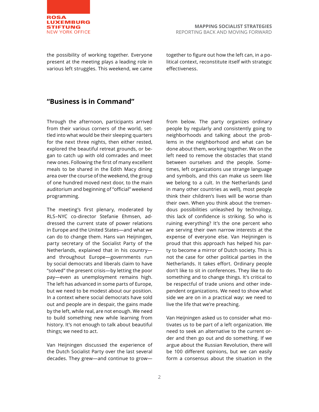

the possibility of working together. Everyone present at the meeting plays a leading role in various left struggles. This weekend, we came

together to figure out how the left can, in a political context, reconstitute itself with strategic effectiveness.

#### **"Business is in Command"**

Through the afternoon, participants arrived from their various corners of the world, settled into what would be their sleeping quarters for the next three nights, then either rested, explored the beautiful retreat grounds, or began to catch up with old comrades and meet new ones. Following the first of many excellent meals to be shared in the Edith Macy dining area over the course of the weekend, the group of one hundred moved next door, to the main auditorium and beginning of "official" weekend programming.

The meeting's first plenary, moderated by RLS–NYC co-director Stefanie Ehmsen, addressed the current state of power relations in Europe and the United States—and what we can do to change them. Hans van Heijningen, party secretary of the Socialist Party of the Netherlands, explained that in his country and throughout Europe—governments run by social democrats and liberals claim to have "solved" the present crisis—by letting the poor pay—even as unemployment remains high. The left has advanced in some parts of Europe, but we need to be modest about our position. In a context where social democrats have sold out and people are in despair, the gains made by the left, while real, are not enough. We need to build something new while learning from history. It's not enough to talk about beautiful things; we need to act.

Van Heijningen discussed the experience of the Dutch Socialist Party over the last several decades. They grew—and continue to grow—

from below. The party organizes ordinary people by regularly and consistently going to neighborhoods and talking about the problems in the neighborhood and what can be done about them, working together. We on the left need to remove the obstacles that stand between ourselves and the people. Sometimes, left organizations use strange language and symbols, and this can make us seem like we belong to a cult. In the Netherlands (and in many other countries as well), most people think their children's lives will be worse than their own. When you think about the tremendous possibilities unleashed by technology, this lack of confidence is striking. So who is ruining everything? It's the one percent who are serving their own narrow interests at the expense of everyone else. Van Heijningen is proud that this approach has helped his party to become a mirror of Dutch society. This is not the case for other political parties in the Netherlands. It takes effort. Ordinary people don't like to sit in conferences. They like to do something and to change things. It's critical to be respectful of trade unions and other independent organizations. We need to show what side we are on in a practical way: we need to live the life that we're preaching.

Van Heijningen asked us to consider what motivates us to be part of a left organization. We need to seek an alternative to the current order and then go out and do something. If we argue about the Russian Revolution, there will be 100 different opinions, but we can easily form a consensus about the situation in the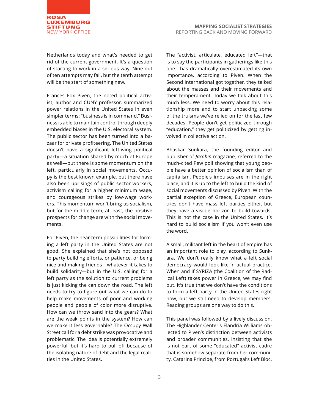Netherlands today and what's needed to get rid of the current government. It's a question of starting to work in a serious way. Nine out of ten attempts may fail, but the tenth attempt will be the start of something new.

Frances Fox Piven, the noted political activist, author and CUNY professor, summarized power relations in the United States in even simpler terms: "business is in command." Business is able to maintain control through deeply embedded biases in the U.S. electoral system. The public sector has been turned into a bazaar for private profiteering. The United States doesn't have a significant left-wing political party—a situation shared by much of Europe as well—but there is some momentum on the left, particularly in social movements. Occupy is the best known example, but there have also been uprisings of public sector workers, activism calling for a higher minimum wage, and courageous strikes by low-wage workers. This momentum won't bring us socialism, but for the middle term, at least, the positive prospects for change are with the social movements.

For Piven, the near-term possibilities for forming a left party in the United States are not good. She explained that she's not opposed to party building efforts, or patience, or being nice and making friends—whatever it takes to build solidarity—but in the U.S. calling for a left party as the solution to current problems is just kicking the can down the road. The left needs to try to figure out what we can do to help make movements of poor and working people and people of color more disruptive. How can we throw sand into the gears? What are the weak points in the system? How can we make it less governable? The Occupy Wall Street call for a debt strike was provocative and problematic. The idea is potentially extremely powerful, but it's hard to pull off because of the isolating nature of debt and the legal realities in the United States.

The "activist, articulate, educated left"—that is to say the participants in gatherings like this one—has dramatically overestimated its own importance, according to Piven. When the Second International got together, they talked about the masses and their movements and their temperament. Today we talk about this much less. We need to worry about this relationship more and to start unpacking some of the truisms we've relied on for the last few decades. People don't get politicized through "education," they get politicized by getting involved in collective action.

Bhaskar Sunkara, the founding editor and publisher of *Jacobin* magazine, referred to the much-cited Pew poll showing that young people have a better opinion of socialism than of capitalism. People's impulses are in the right place, and it is up to the left to build the kind of social movements discussed by Piven. With the partial exception of Greece, European countries don't have mass left parties either, but they have a visible horizon to build towards. This is not the case in the United States. It's hard to build socialism if you won't even use the word.

A small, militant left in the heart of empire has an important role to play, according to Sunkara. We don't really know what a left social democracy would look like in actual practice. When and if SYRIZA (the Coalition of the Radical Left) takes power in Greece, we may find out. It's true that we don't have the conditions to form a left party in the United States right now, but we still need to develop members. Reading groups are one way to do this.

This panel was followed by a lively discussion. The Highlander Center's Elandria Williams objected to Piven's distinction between activists and broader communities, insisting that she is not part of some "educated" activist cadre that is somehow separate from her community. Catarina Principe, from Portugal's Left Bloc,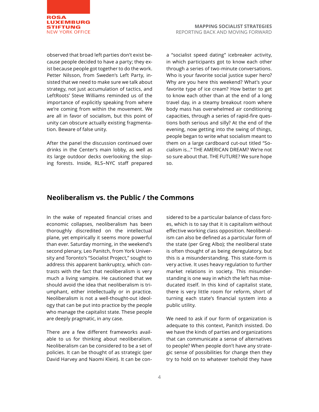observed that broad left parties don't exist because people decided to have a party; they exist because people got together to do the work. Petter Nilsson, from Sweden's Left Party, insisted that we need to make sure we talk about strategy, not just accumulation of tactics, and LeftRoots' Steve Williams reminded us of the importance of explicitly speaking from where we're coming from within the movement. We are all in favor of socialism, but this point of unity can obscure actually existing fragmentation. Beware of false unity.

After the panel the discussion continued over drinks in the Center's main lobby, as well as its large outdoor decks overlooking the sloping forests. Inside, RLS–NYC staff prepared

a "socialist speed dating" icebreaker activity, in which participants got to know each other through a series of two-minute conversations. Who is your favorite social justice super hero? Why are you here this weekend? What's your favorite type of ice cream? How better to get to know each other than at the end of a long travel day, in a steamy breakout room where body mass has overwhelmed air conditioning capacities, through a series of rapid-fire questions both serious and silly? At the end of the evening, now getting into the swing of things, people began to write what socialism meant to them on a large cardboard cut-out titled "Socialism is…" THE AMERICAN DREAM? We're not so sure about that. THE FUTURE? We sure hope so.

#### **Neoliberalism vs. the Public / the Commons**

In the wake of repeated financial crises and economic collapses, neoliberalism has been thoroughly discredited on the intellectual plane, yet empirically it seems more powerful than ever. Saturday morning, in the weekend's second plenary, Leo Panitch, from York University and Toronto's "Socialist Project," sought to address this apparent bankruptcy, which contrasts with the fact that neoliberalism is very much a living vampire. He cautioned that we should avoid the idea that neoliberalism is triumphant, either intellectually or in practice. Neoliberalism is not a well-thought-out ideology that can be put into practice by the people who manage the capitalist state. These people are deeply pragmatic, in any case.

There are a few different frameworks available to us for thinking about neoliberalism. Neoliberalism can be considered to be a set of policies. It can be thought of as strategic (per David Harvey and Naomi Klein). It can be considered to be a particular balance of class forces, which is to say that it is capitalism without effective working class opposition. Neoliberalism can also be defined as a particular form of the state (per Greg Albo); the neoliberal state is often thought of as being deregulatory, but this is a misunderstanding. This state-form is very active. It uses heavy regulation to further market relations in society. This misunderstanding is one way in which the left has miseducated itself. In this kind of capitalist state, there is very little room for reform, short of turning each state's financial system into a public utility.

We need to ask if our form of organization is adequate to this context, Panitch insisted. Do we have the kinds of parties and organizations that can communicate a sense of alternatives to people? When people don't have any strategic sense of possibilities for change then they try to hold on to whatever toehold they have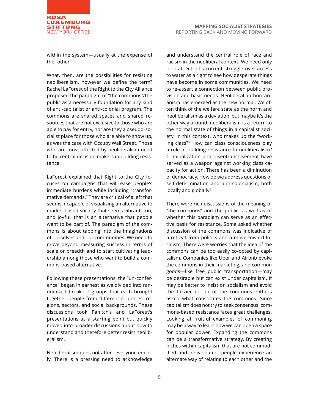

within the system—usually at the expense of the "other."

What, then, are the possibilities for resisting neoliberalism, however we define the term? Rachel LaForest of the Right to the City Alliance proposed the paradigm of "the commons"/the public as a necessary foundation for any kind of anti-capitalist or anti-colonial program. The commons are shared spaces and shared resources that are not exclusive to those who are able to pay for entry, nor are they a pseudo-socialist place for those who are able to show up, as was the case with Occupy Wall Street. Those who are most affected by neoliberalism need to be central decision makers in building resistance.

LaForest explained that Right to the City focuses on campaigns that will ease people's immediate burdens while including "transformative demands." They are critical of a left that seems incapable of visualizing an alternative to market-based society that seems vibrant, fun, and joyful, that is an alternative that people want to be part of. The paradigm of the commons is about tapping into the imaginations of ourselves and our communities. We need to move beyond measuring success in terms of scale or breadth and to start cultivating leadership among those who want to build a commons-based alternative.

Following these presentations, the "un-conference" began in earnest as we divided into randomized breakout groups that each brought together people from different countries, regions, sectors, and social backgrounds. These discussions took Panitch's and LaForest's presentations as a starting point but quickly moved into broader discussions about how to understand and therefore better resist neoliberalism.

Neoliberalism does not affect everyone equally. There is a pressing need to acknowledge

and understand the central role of race and racism in the neoliberal context. We need only look at Detroit's current struggle over access to water as a right to see how desperate things have become in some communities. We need to re-assert a connection between public provision and basic needs. Neoliberal authoritarianism has emerged as the new normal. We often think of the welfare state as the norm and neoliberalism as a deviation, but maybe it's the other way around: neoliberalism is a return to the normal state of things in a capitalist society. In this context, who makes up the "working class?" How can class consciousness play a role in building resistance to neoliberalism? Criminalization and disenfranchisement have served as a weapon against working class capacity for action. There has been a diminution of democracy. How do we address questions of self-determination and anti-colonialism, both locally and globally?

There were rich discussions of the meaning of "the commons" and the public, as well as of whether this paradigm can serve as an effective basis for resistance. Some asked whether discussion of the commons was indicative of a retreat from politics and a move toward localism. There were worries that the idea of the commons can be too easily co-opted by capitalism. Companies like Uber and Airbnb evoke the commons in their marketing, and common goods—like free public transportation—may be desirable but can exist under capitalism. It may be better to insist on socialism and avoid the fuzzier notion of the commons. Others asked what constitutes the commons. Since capitalism does not try to seek consensus, commons-based resistance faces great challenges. Looking at fruitful examples of commoning may be a way to learn how we can open a space for popular power. Expanding the commons can be a transformative strategy. By creating niches within capitalism that are not commodified and individuated, people experience an alternate way of relating to each other and the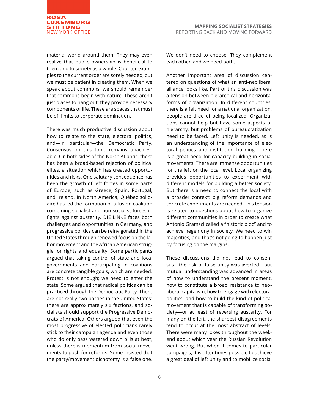material world around them. They may even realize that public ownership is beneficial to them and to society as a whole. Counter-examples to the current order are sorely needed, but we must be patient in creating them. When we speak about commons, we should remember that commons begin with nature. These aren't just places to hang out; they provide necessary components of life. These are spaces that must be off limits to corporate domination.

There was much productive discussion about how to relate to the state, electoral politics, and—in particular—the Democratic Party. Consensus on this topic remains unachievable. On both sides of the North Atlantic, there has been a broad-based rejection of political elites, a situation which has created opportunities and risks. One salutary consequence has been the growth of left forces in some parts of Europe, such as Greece, Spain, Portugal, and Ireland. In North America, Québec solidaire has led the formation of a fusion coalition combining socialist and non-socialist forces in fights against austerity. DIE LINKE faces both challenges and opportunities in Germany, and progressive politics can be reinvigorated in the United States through renewed focus on the labor movement and the African American struggle for rights and equality. Some participants argued that taking control of state and local governments and participating in coalitions are concrete tangible goals, which are needed. Protest is not enough; we need to enter the state. Some argued that radical politics can be practiced through the Democratic Party. There are not really two parties in the United States: there are approximately six factions, and socialists should support the Progressive Democrats of America. Others argued that even the most progressive of elected politicians rarely stick to their campaign agenda and even those who do only pass watered down bills at best, unless there is momentum from social movements to push for reforms. Some insisted that the party/movement dichotomy is a false one. We don't need to choose. They complement each other, and we need both.

Another important area of discussion centered on questions of what an anti-neoliberal alliance looks like. Part of this discussion was a tension between hierarchical and horizontal forms of organization. In different countries, there is a felt need for a national organization: people are tired of being localized. Organizations cannot help but have some aspects of hierarchy, but problems of bureaucratization need to be faced. Left unity is needed, as is an understanding of the importance of electoral politics and institution building. There is a great need for capacity building in social movements. There are immense opportunities for the left on the local level. Local organizing provides opportunities to experiment with different models for building a better society. But there is a need to connect the local with a broader context: big reform demands and concrete experiments are needed. This tension is related to questions about how to organize different communities in order to create what Antonio Gramsci called a "historic bloc" and to achieve hegemony in society. We need to win majorities, and that's not going to happen just by focusing on the margins.

These discussions did not lead to consensus—the risk of false unity was averted—but mutual understanding was advanced in areas of how to understand the present moment, how to constitute a broad resistance to neoliberal capitalism, how to engage with electoral politics, and how to build the kind of political movement that is capable of transforming society—or at least of reversing austerity. For many on the left, the sharpest disagreements tend to occur at the most abstract of levels. There were many jokes throughout the weekend about which year the Russian Revolution went wrong. But when it comes to particular campaigns, it is oftentimes possible to achieve a great deal of left unity and to mobilize social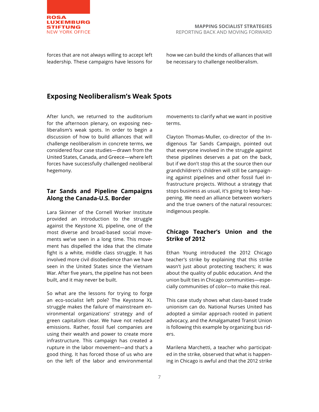

forces that are not always willing to accept left leadership. These campaigns have lessons for

how we can build the kinds of alliances that will be necessary to challenge neoliberalism.

#### **Exposing Neoliberalism's Weak Spots**

After lunch, we returned to the auditorium for the afternoon plenary, on exposing neoliberalism's weak spots. In order to begin a discussion of how to build alliances that will challenge neoliberalism in concrete terms, we considered four case studies—drawn from the United States, Canada, and Greece—where left forces have successfully challenged neoliberal hegemony.

#### **Tar Sands and Pipeline Campaigns Along the Canada-U.S. Border**

Lara Skinner of the Cornell Worker Institute provided an introduction to the struggle against the Keystone XL pipeline, one of the most diverse and broad-based social movements we've seen in a long time. This movement has dispelled the idea that the climate fight is a white, middle class struggle. It has involved more civil disobedience than we have seen in the United States since the Vietnam War. After five years, the pipeline has not been built, and it may never be built.

So what are the lessons for trying to forge an eco-socialist left pole? The Keystone XL struggle makes the failure of mainstream environmental organizations' strategy and of green capitalism clear. We have not reduced emissions. Rather, fossil fuel companies are using their wealth and power to create more infrastructure. This campaign has created a rupture in the labor movement—and that's a good thing. It has forced those of us who are on the left of the labor and environmental

movements to clarify what we want in positive terms.

Clayton Thomas-Muller, co-director of the Indigenous Tar Sands Campaign, pointed out that everyone involved in the struggle against these pipelines deserves a pat on the back, but if we don't stop this at the source then our grandchildren's children will still be campaigning against pipelines and other fossil fuel infrastructure projects. Without a strategy that stops business as usual, it's going to keep happening. We need an alliance between workers and the true owners of the natural resources: indigenous people.

#### **Chicago Teacher's Union and the Strike of 2012**

Ethan Young introduced the 2012 Chicago teacher's strike by explaining that this strike wasn't just about protecting teachers; it was about the quality of public education. And the union built ties in Chicago communities—especially communities of color—to make this real.

This case study shows what class-based trade unionism can do. National Nurses United has adopted a similar approach rooted in patient advocacy, and the Amalgamated Transit Union is following this example by organizing bus riders.

Marilena Marchetti, a teacher who participated in the strike, observed that what is happening in Chicago is awful and that the 2012 strike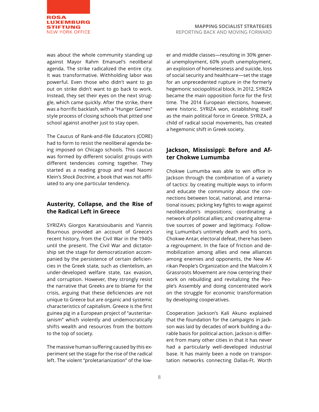

was about the whole community standing up against Mayor Rahm Emanuel's neoliberal agenda. The strike radicalized the entire city. It was transformative. Withholding labor was powerful. Even those who didn't want to go out on strike didn't want to go back to work. Instead, they set their eyes on the next struggle, which came quickly. After the strike, there was a horrific backlash, with a "Hunger Games" style process of closing schools that pitted one school against another just to stay open.

The Caucus of Rank-and-file Educators (CORE) had to form to resist the neoliberal agenda being imposed on Chicago schools. This caucus was formed by different socialist groups with different tendencies coming together. They started as a reading group and read Naomi Klein's *Shock Doctrine*, a book that was not affiliated to any one particular tendency.

#### **Austerity, Collapse, and the Rise of the Radical Left in Greece**

SYRIZA's Giorgos Karatsioubanis and Yiannis Bournous provided an account of Greece's recent history, from the Civil War in the 1940s until the present. The Civil War and dictatorship set the stage for democratization accompanied by the persistence of certain deficiencies in the Greek state, such as clientelism, an under-developed welfare state, tax evasion, and corruption. However, they strongly resist the narrative that Greeks are to blame for the crisis, arguing that these deficiencies are not unique to Greece but are organic and systemic characteristics of capitalism. Greece is the first guinea pig in a European project of "austeritarianism" which violently and undemocratically shifts wealth and resources from the bottom to the top of society.

The massive human suffering caused by this experiment set the stage for the rise of the radical left. The violent "proletarianization" of the low-

er and middle classes—resulting in 30% general unemployment, 60% youth unemployment, an explosion of homelessness and suicide, loss of social security and healthcare—set the stage for an unprecedented rupture in the formerly hegemonic sociopolitical block. In 2012, SYRIZA became the main opposition force for the first time. The 2014 European elections, however, were historic. SYRIZA won, establishing itself as the main political force in Greece. SYRIZA, a child of radical social movements, has created a hegemonic shift in Greek society.

#### **Jackson, Mississippi: Before and After Chokwe Lumumba**

Chokwe Lumumba was able to win office in Jackson through the combination of a variety of tactics: by creating multiple ways to inform and educate the community about the connections between local, national, and international issues; picking key fights to wage against neoliberalism's impositions; coordinating a network of political allies; and creating alternative sources of power and legitimacy. Following Lumumba's untimely death and his son's, Chokwe Antar, electoral defeat, there has been a regroupment. In the face of friction and demobilization among allies and new alliances among enemies and opponents, the New Afrikan People's Organization and the Malcolm X Grassroots Movement are now centering their work on rebuilding and revitalizing the People's Assembly and doing concentrated work on the struggle for economic transformation by developing cooperatives.

Cooperation Jackson's Kali Akuno explained that the foundation for the campaigns in Jackson was laid by decades of work building a durable basis for political action. Jackson is different from many other cities in that it has never had a particularly well-developed industrial base. It has mainly been a node on transportation networks connecting Dallas-Ft. Worth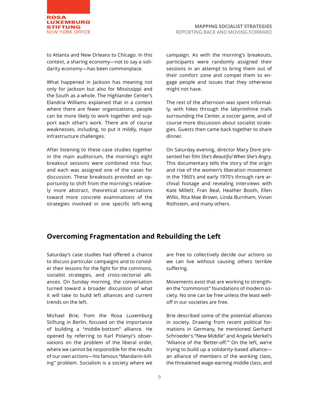

to Atlanta and New Orleans to Chicago. In this context, a sharing economy—not to say a solidarity economy—has been commonplace.

What happened in Jackson has meaning not only for Jackson but also for Mississippi and the South as a whole. The Highlander Center's Elandria Williams explained that in a context where there are fewer organizations, people can be more likely to work together and support each other's work. There are of course weaknesses, including, to put it mildly, major infrastructure challenges.

After listening to these case studies together in the main auditorium, the morning's eight breakout sessions were combined into four, and each was assigned one of the cases for discussion. These breakouts provided an opportunity to shift from the morning's relatively more abstract, theoretical conversations toward more concrete examinations of the strategies involved in one specific left-wing

campaign. As with the morning's breakouts, participants were randomly assigned their sessions in an attempt to bring them out of their comfort zone and compel them to engage people and issues that they otherwise might not have.

The rest of the afternoon was spent informally, with hikes through the labyrinthine trails surrounding the Center, a soccer game, and of course more discussion about socialist strategies. Guests then came back together to share dinner.

On Saturday evening, director Mary Dore presented her film *She's Beautiful When She's Angry*. This documentary tells the story of the origin and rise of the women's liberation movement in the 1960's and early 1970's through rare archival footage and revealing interviews with Kate Millett, Fran Beal, Heather Booth, Ellen Willis, Rita Mae Brown, Linda Burnham, Vivian Rothstein, and many others.

#### **Overcoming Fragmentation and Rebuilding the Left**

Saturday's case studies had offered a chance to discuss particular campaigns and to consider their lessons for the fight for the commons, socialist strategies, and cross-sectorial alliances. On Sunday morning, the conversation turned toward a broader discussion of what it will take to build left alliances and current trends on the left.

Michael Brie, from the Rosa Luxemburg Stiftung in Berlin, focused on the importance of building a "middle-bottom" alliance. He opened by referring to Karl Polanyi's observations on the problem of the liberal order, where we cannot be responsible for the results of our own actions—his famous "Mandarin-killing" problem. Socialism is a society where we

are free to collectively decide our actions so we can live without causing others terrible suffering.

Movements exist that are working to strengthen the "commonist" foundations of modern society. No one can be free unless the least welloff in our societies are free.

Brie described some of the potential alliances in society. Drawing from recent political formations in Germany, he mentioned Gerhard Schroeder's "New Middle" and Angela Merkel's "Alliance of the 'Better-off.'" On the left, we're trying to build up a solidarity-based alliance an alliance of members of the working class, the threatened wage-earning middle class, and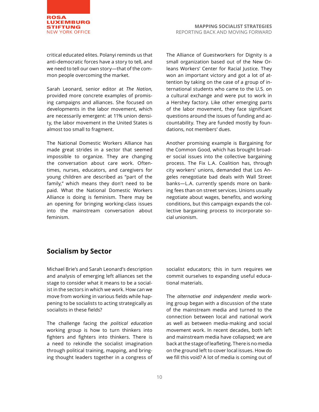

critical educated elites. Polanyi reminds us that anti-democratic forces have a story to tell, and we need to tell our own story—that of the common people overcoming the market.

Sarah Leonard, senior editor at *The Nation*, provided more concrete examples of promising campaigns and alliances. She focused on developments in the labor movement, which are necessarily emergent: at 11% union density, the labor movement in the United States is almost too small to fragment.

The National Domestic Workers Alliance has made great strides in a sector that seemed impossible to organize. They are changing the conversation about care work. Oftentimes, nurses, educators, and caregivers for young children are described as "part of the family," which means they don't need to be paid. What the National Domestic Workers Alliance is doing is feminism. There may be an opening for bringing working-class issues into the mainstream conversation about feminism.

The Alliance of Guestworkers for Dignity is a small organization based out of the New Orleans Workers' Center for Racial Justice. They won an important victory and got a lot of attention by taking on the case of a group of international students who came to the U.S. on a cultural exchange and were put to work in a Hershey factory. Like other emerging parts of the labor movement, they face significant questions around the issues of funding and accountability. They are funded mostly by foundations, not members' dues.

Another promising example is Bargaining for the Common Good, which has brought broader social issues into the collective bargaining process. The Fix L.A. Coalition has, through city workers' unions, demanded that Los Angeles renegotiate bad deals with Wall Street banks—L.A. currently spends more on banking fees than on street services. Unions usually negotiate about wages, benefits, and working conditions, but this campaign expands the collective bargaining process to incorporate social unionism.

#### **Socialism by Sector**

Michael Brie's and Sarah Leonard's description and analysis of emerging left alliances set the stage to consider what it means to be a socialist in the sectors in which we work. How can we move from working in various fields while happening to be socialists to acting strategically as socialists in these fields?

The challenge facing the *political education*  working group is how to turn thinkers into fighters and fighters into thinkers. There is a need to rekindle the socialist imagination through political training, mapping, and bringing thought leaders together in a congress of socialist educators; this in turn requires we commit ourselves to expanding useful educational materials.

The *alternative and independent media* working group began with a discussion of the state of the mainstream media and turned to the connection between local and national work as well as between media-making and social movement work. In recent decades, both left and mainstream media have collapsed; we are back at the stage of leafleting. There is no media on the ground left to cover local issues. How do we fill this void? A lot of media is coming out of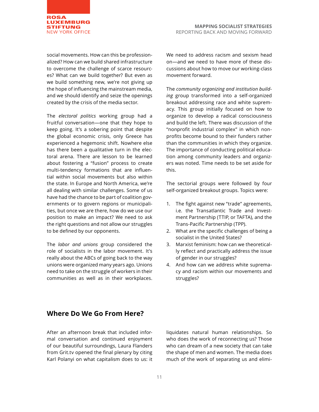

social movements. How can this be professionalized? How can we build shared infrastructure to overcome the challenge of scarce resources? What can we build together? But even as we build something new, we're not giving up the hope of influencing the mainstream media, and we should identify and seize the openings created by the crisis of the media sector.

The *electoral politics* working group had a fruitful conversation—one that they hope to keep going. It's a sobering point that despite the global economic crisis, only Greece has experienced a hegemonic shift. Nowhere else has there been a qualitative turn in the electoral arena. There are lesson to be learned about fostering a "fusion" process to create multi-tendency formations that are influential within social movements but also within the state. In Europe and North America, we're all dealing with similar challenges. Some of us have had the chance to be part of coalition governments or to govern regions or municipalities, but once we are there, how do we use our position to make an impact? We need to ask the right questions and not allow our struggles to be defined by our opponents.

The *labor and unions* group considered the role of socialists in the labor movement. It's really about the ABCs of going back to the way unions were organized many years ago. Unions need to take on the struggle of workers in their communities as well as in their workplaces.

We need to address racism and sexism head on—and we need to have more of these discussions about how to move our working-class movement forward.

The *community organizing and institution building* group transformed into a self-organized breakout addressing race and white supremacy. This group initially focused on how to organize to develop a radical consciousness and build the left. There was discussion of the "nonprofit industrial complex" in which nonprofits become bound to their funders rather than the communities in which they organize. The importance of conducting political education among community leaders and organizers was noted. Time needs to be set aside for this.

The sectorial groups were followed by four self-organized breakout groups. Topics were:

- 1. The fight against new "trade" agreements, i.e. the Transatlantic Trade and Investment Partnership (TTIP, or TAFTA), and the Trans-Pacific Partnership (TPP).
- 2. What are the specific challenges of being a socialist in the United States?
- 3. Marxist feminism: how can we theoretically reflect and practically address the issue of gender in our struggles?
- 4. And how can we address white supremacy and racism within our movements and struggles?

#### **Where Do We Go From Here?**

After an afternoon break that included informal conversation and continued enjoyment of our beautiful surroundings, Laura Flanders from Grit.tv opened the final plenary by citing Karl Polanyi on what capitalism does to us: it liquidates natural human relationships. So who does the work of reconnecting us? Those who can dream of a new society that can take the shape of men and women. The media does much of the work of separating us and elimi-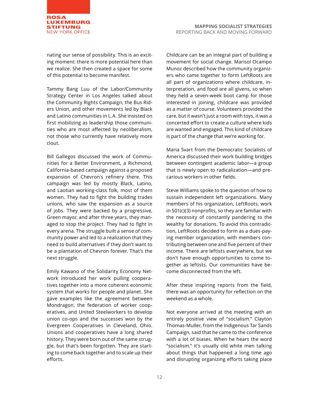

nating our sense of possibility. This is an exciting moment: there is more potential here than we realize. She then created a space for some of this potential to become manifest.

Tammy Bang Luu of the Labor/Community Strategy Center in Los Angeles talked about the Community Rights Campaign, the Bus Riders Union, and other movements led by Black and Latino communities in L.A. She insisted on first mobilizing as leadership those communities who are most affected by neoliberalism, not those who currently have relatively more clout.

Bill Gallegos discussed the work of Communities for a Better Environment, a Richmond, California-based campaign against a proposed expansion of Chevron's refinery there. This campaign was led by mostly Black, Latino, and Laotian working-class folk, most of them women. They had to fight the building trades unions, who saw the expansion as a source of jobs. They were backed by a progressive, Green mayor, and after three years, they managed to stop the project. They had to fight in every arena. The struggle built a sense of community power and led to a realization that they need to build alternatives if they don't want to be a plantation of Chevron forever. That's the next struggle.

Emily Kawano of the Solidarity Economy Network introduced her work pulling cooperatives together into a more coherent economic system that works for people and planet. She gave examples like the agreement between Mondragon, the federation of worker cooperatives, and United Steelworkers to develop union co-ops and the successes won by the Evergreen Cooperatives in Cleveland, Ohio. Unions and cooperatives have a long shared history. They were born out of the same struggle, but that's been forgotten. They are starting to come back together and to scale up their efforts.

Childcare can be an integral part of building a movement for social change. Marisol Ocampo Munoz described how the community organizers who came together to form LeftRoots are all part of organizations where childcare, interpretation, and food are all givens, so when they held a seven-week boot camp for those interested in joining, childcare was provided as a matter of course. Volunteers provided the care, but it wasn't just a room with toys, it was a concerted effort to create a culture where kids are wanted and engaged. This kind of childcare is part of the change that we're working for.

Maria Svart from the Democratic Socialists of America discussed their work building bridges between contingent academic labor—a group that is newly open to radicalization—and precarious workers in other fields.

Steve Williams spoke to the question of how to sustain independent left organizations. Many members of his organization, LeftRoots, work in 501(c)(3) nonprofits, so they are familiar with the necessity of constantly pandering to the wealthy for donations. To avoid this contradiction, LeftRoots decided to form as a dues-paying member organization, with members contributing between one and five percent of their income. There are leftists everywhere, but we don't have enough opportunities to come together as leftists. Our communities have become disconnected from the left.

After these inspiring reports from the field, there was an opportunity for reflection on the weekend as a whole.

Not everyone arrived at the meeting with an entirely positive view of "socialism." Clayton Thomas-Muller, from the Indigenous Tar Sands Campaign, said that he came to the conference with a lot of biases. When he hears the word "socialism," it's usually old white men talking about things that happened a long time ago and disrupting organizing efforts taking place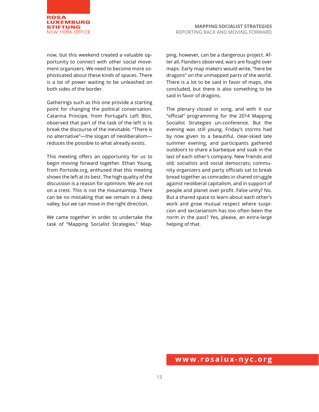now, but this weekend created a valuable opportunity to connect with other social movement organizers. We need to become more sophisticated about these kinds of spaces. There is a lot of power waiting to be unleashed on both sides of the border.

Gatherings such as this one provide a starting point for changing the political conversation. Catarina Principe, from Portugal's Left Bloc, observed that part of the task of the left is to break the discourse of the inevitable. "There is no alternative"—the slogan of neoliberalism reduces the possible to what already exists.

This meeting offers an opportunity for us to begin moving forward together. Ethan Young, from Portside.org, enthused that this meeting shows the left at its best. The high quality of the discussion is a reason for optimism. We are not on a crest. This is not the mountaintop. There can be no mistaking that we remain in a deep valley, but we can move in the right direction.

We came together in order to undertake the task of "Mapping Socialist Strategies." Map-

ping, however, can be a dangerous project. After all, Flanders observed, wars are fought over maps. Early map makers would write, "here be dragons" on the unmapped parts of the world. There is a lot to be said in favor of maps, she concluded, but there is also something to be said in favor of dragons.

The plenary closed in song, and with it our "official" programming for the 2014 Mapping Socialist Strategies un-conference. But the evening was still young. Friday's storms had by now given to a beautiful, clear-skied late summer evening, and participants gathered outdoors to share a barbeque and soak in the last of each other's company. New friends and old; socialists and social democrats; community organizers and party officials sat to break bread together as comrades in shared struggle against neoliberal capitalism, and in support of people and planet over profit. False unity? No. But a shared space to learn about each other's work and grow mutual respect where suspicion and sectarianism has too often been the norm in the past? Yes, please, an extra-large helping of that.

#### **www.rosalux-nyc.org**